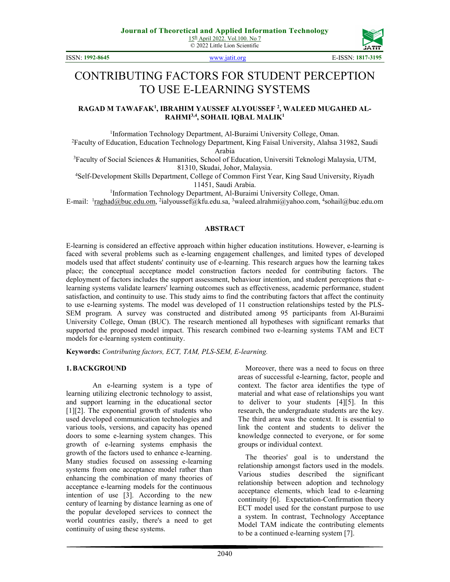© 2022 Little Lion Scientific



ISSN: **1992-8645** www.jatit.org E-ISSN: **1817-3195**

# CONTRIBUTING FACTORS FOR STUDENT PERCEPTION TO USE E-LEARNING SYSTEMS

### **RAGAD M TAWAFAK<sup>1</sup> , IBRAHIM YAUSSEF ALYOUSSEF <sup>2</sup> , WALEED MUGAHED AL-RAHMI3,4, SOHAIL IQBAL MALIK<sup>1</sup>**

<sup>1</sup>Information Technology Department, Al-Buraimi University College, Oman. <sup>2</sup>Faculty of Education, Education Technology Department, King Faisal University, Alahsa 31982, Saudi Arabia

<sup>3</sup>Faculty of Social Sciences & Humanities, School of Education, Universiti Teknologi Malaysia, UTM, 81310, Skudai, Johor, Malaysia.

<sup>4</sup>Self-Development Skills Department, College of Common First Year, King Saud University, Riyadh 11451, Saudi Arabia.

<sup>1</sup>Information Technology Department, Al-Buraimi University College, Oman.

E-mail: <sup>1</sup>raghad@buc.edu.om, <sup>2</sup>ialyoussef@kfu.edu.sa, <sup>3</sup>waleed.alrahmi@yahoo.com, <sup>4</sup>sohail@buc.edu.om

#### **ABSTRACT**

E-learning is considered an effective approach within higher education institutions. However, e-learning is faced with several problems such as e-learning engagement challenges, and limited types of developed models used that affect students' continuity use of e-learning. This research argues how the learning takes place; the conceptual acceptance model construction factors needed for contributing factors. The deployment of factors includes the support assessment, behaviour intention, and student perceptions that elearning systems validate learners' learning outcomes such as effectiveness, academic performance, student satisfaction, and continuity to use. This study aims to find the contributing factors that affect the continuity to use e-learning systems. The model was developed of 11 construction relationships tested by the PLS-SEM program. A survey was constructed and distributed among 95 participants from Al-Buraimi University College, Oman (BUC). The research mentioned all hypotheses with significant remarks that supported the proposed model impact. This research combined two e-learning systems TAM and ECT models for e-learning system continuity.

**Keywords:** *Contributing factors, ECT, TAM, PLS-SEM, E-learning.*

#### **1.BACKGROUND**

An e-learning system is a type of learning utilizing electronic technology to assist, and support learning in the educational sector [1][2]. The exponential growth of students who used developed communication technologies and various tools, versions, and capacity has opened doors to some e-learning system changes. This growth of e-learning systems emphasis the growth of the factors used to enhance e-learning. Many studies focused on assessing e-learning systems from one acceptance model rather than enhancing the combination of many theories of acceptance e-learning models for the continuous intention of use [3]. According to the new century of learning by distance learning as one of the popular developed services to connect the world countries easily, there's a need to get continuity of using these systems.

Moreover, there was a need to focus on three areas of successful e-learning, factor, people and context. The factor area identifies the type of material and what ease of relationships you want to deliver to your students [4][5]. In this research, the undergraduate students are the key. The third area was the context. It is essential to link the content and students to deliver the knowledge connected to everyone, or for some groups or individual context.

The theories' goal is to understand the relationship amongst factors used in the models. Various studies described the significant relationship between adoption and technology acceptance elements, which lead to e-learning continuity [6]. Expectation-Confirmation theory ECT model used for the constant purpose to use a system. In contrast, Technology Acceptance Model TAM indicate the contributing elements to be a continued e-learning system [7].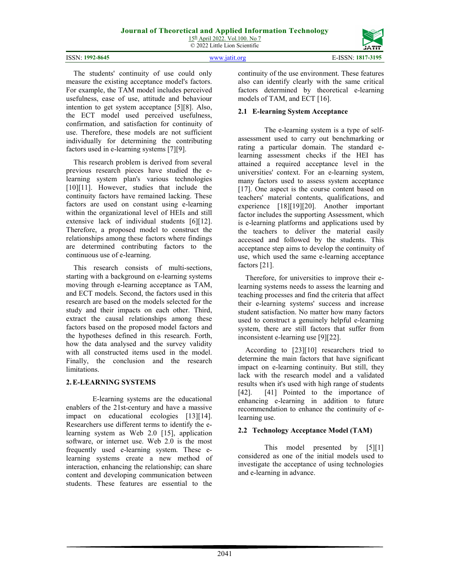© 2022 Little Lion Scientific

|                 |               | ----              |
|-----------------|---------------|-------------------|
| ISSN: 1992-8645 | www istit ore | E-ISSN: 1817-3195 |

The students' continuity of use could only measure the existing acceptance model's factors. For example, the TAM model includes perceived usefulness, ease of use, attitude and behaviour intention to get system acceptance [5][8]. Also, the ECT model used perceived usefulness, confirmation, and satisfaction for continuity of use. Therefore, these models are not sufficient individually for determining the contributing factors used in e-learning systems [7][9].

This research problem is derived from several previous research pieces have studied the elearning system plan's various technologies [10][11]. However, studies that include the continuity factors have remained lacking. These factors are used on constant using e-learning within the organizational level of HEIs and still extensive lack of individual students [6][12]. Therefore, a proposed model to construct the relationships among these factors where findings are determined contributing factors to the continuous use of e-learning.

This research consists of multi-sections, starting with a background on e-learning systems moving through e-learning acceptance as TAM, and ECT models. Second, the factors used in this research are based on the models selected for the study and their impacts on each other. Third, extract the causal relationships among these factors based on the proposed model factors and the hypotheses defined in this research. Forth, how the data analysed and the survey validity with all constructed items used in the model. Finally, the conclusion and the research limitations.

# **2.E-LEARNING SYSTEMS**

E-learning systems are the educational enablers of the 21st-century and have a massive impact on educational ecologies [13][14]. Researchers use different terms to identify the elearning system as Web 2.0 [15], application software, or internet use. Web 2.0 is the most frequently used e-learning system. These elearning systems create a new method of interaction, enhancing the relationship; can share content and developing communication between students. These features are essential to the

continuity of the use environment. These features also can identify clearly with the same critical factors determined by theoretical e-learning models of TAM, and ECT [16].

# **2.1 E-learning System Acceptance**

The e-learning system is a type of selfassessment used to carry out benchmarking or rating a particular domain. The standard elearning assessment checks if the HEI has attained a required acceptance level in the universities' context. For an e-learning system, many factors used to assess system acceptance [17]. One aspect is the course content based on teachers' material contents, qualifications, and experience [18][19][20]. Another important factor includes the supporting Assessment, which is e-learning platforms and applications used by the teachers to deliver the material easily accessed and followed by the students. This acceptance step aims to develop the continuity of use, which used the same e-learning acceptance factors [21].

Therefore, for universities to improve their elearning systems needs to assess the learning and teaching processes and find the criteria that affect their e-learning systems' success and increase student satisfaction. No matter how many factors used to construct a genuinely helpful e-learning system, there are still factors that suffer from inconsistent e-learning use [9][22].

According to [23][10] researchers tried to determine the main factors that have significant impact on e-learning continuity. But still, they lack with the research model and a validated results when it's used with high range of students [42]. [41] Pointed to the importance of enhancing e-learning in addition to future recommendation to enhance the continuity of elearning use.

# **2.2 Technology Acceptance Model (TAM)**

This model presented by [5][1] considered as one of the initial models used to investigate the acceptance of using technologies and e-learning in advance.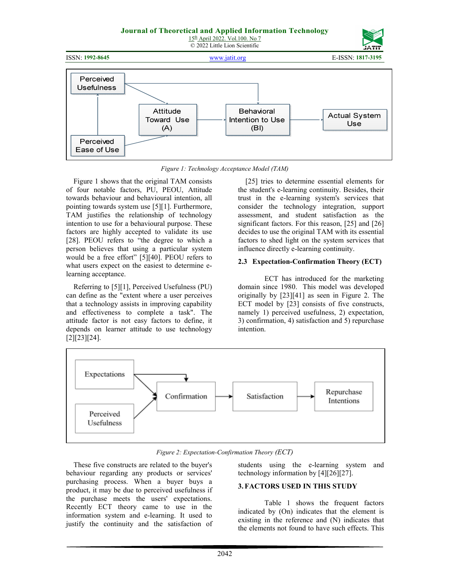#### **Journal of Theoretical and Applied Information Technology**  15th April 2022. Vol.100. No 7 © 2022 Little Lion Scientific









*Figure 1: Technology Acceptance Model (TAM)* 

Figure 1 shows that the original TAM consists of four notable factors, PU, PEOU, Attitude towards behaviour and behavioural intention, all pointing towards system use [5][1]. Furthermore, TAM justifies the relationship of technology intention to use for a behavioural purpose. These factors are highly accepted to validate its use [28]. PEOU refers to "the degree to which a person believes that using a particular system would be a free effort" [5][40]. PEOU refers to what users expect on the easiest to determine elearning acceptance.

Referring to [5][1], Perceived Usefulness (PU) can define as the "extent where a user perceives that a technology assists in improving capability and effectiveness to complete a task". The attitude factor is not easy factors to define, it depends on learner attitude to use technology [2][23][24].

[25] tries to determine essential elements for the student's e-learning continuity. Besides, their trust in the e-learning system's services that consider the technology integration, support assessment, and student satisfaction as the significant factors. For this reason, [25] and [26] decides to use the original TAM with its essential factors to shed light on the system services that influence directly e-learning continuity.

# **2.3 Expectation-Confirmation Theory (ECT)**

ECT has introduced for the marketing domain since 1980. This model was developed originally by [23][41] as seen in Figure 2. The ECT model by [23] consists of five constructs, namely 1) perceived usefulness, 2) expectation, 3) confirmation, 4) satisfaction and 5) repurchase intention.



*Figure 2: Expectation-Confirmation Theory (ECT)* 

These five constructs are related to the buyer's behaviour regarding any products or services' purchasing process. When a buyer buys a product, it may be due to perceived usefulness if the purchase meets the users' expectations. Recently ECT theory came to use in the information system and e-learning. It used to justify the continuity and the satisfaction of

students using the e-learning system and technology information by [4][26][27].

# **3.FACTORS USED IN THIS STUDY**

Table 1 shows the frequent factors indicated by (On) indicates that the element is existing in the reference and (N) indicates that the elements not found to have such effects. This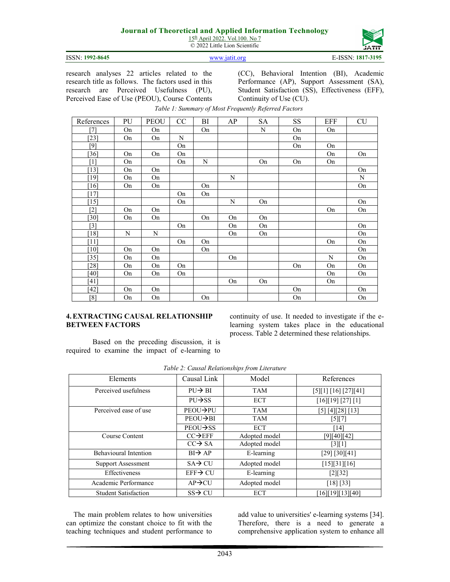15<sup>th</sup> April 2022. Vol.100. No 7 © 2022 Little Lion Scientific



ISSN: **1992-8645** www.jatit.org E-ISSN: **1817-3195**

research analyses 22 articles related to the research title as follows. The factors used in this research are Perceived Usefulness (PU), Perceived Ease of Use (PEOU), Course Contents

(CC), Behavioral Intention (BI), Academic Performance (AP), Support Assessment (SA), Student Satisfaction (SS), Effectiveness (EFF), Continuity of Use (CU).

| References        | PU        | <b>PEOU</b> | CC          | BI | AP | <b>SA</b>   | <b>SS</b> | EFF | <b>CU</b> |
|-------------------|-----------|-------------|-------------|----|----|-------------|-----------|-----|-----------|
| [7]               | On        | On          |             | On |    | $\mathbf N$ | On        | On  |           |
| $[23]$            | On        | On          | $\mathbf N$ |    |    |             | On        |     |           |
| [9]               |           |             | On          |    |    |             | On        | On  |           |
| $[36]$            | On        | On          | On          |    |    |             |           | On  | On        |
| $\lceil 1 \rceil$ | On        |             | On          | N  |    | On          | On        | On  |           |
| $[13]$            | On        | On          |             |    |    |             |           |     | On        |
| [19]              | On        | On          |             |    | N  |             |           |     | N         |
| [16]              | On        | On          |             | On |    |             |           |     | On        |
| $[17]$            |           |             | On          | On |    |             |           |     |           |
| [15]              |           |             | On          |    | N  | On          |           |     | On        |
| $[2]$             | On        | On          |             |    |    |             |           | On  | On        |
| [30]              | On        | On          |             | On | On | On          |           |     |           |
| $[3]$             |           |             | On          |    | On | On          |           |     | On        |
| $[18]$            | ${\bf N}$ | $\mathbf N$ |             |    | On | On          |           |     | On        |
| [11]              |           |             | On          | On |    |             |           | On  | On        |
| [10]              | On        | On          |             | On |    |             |           |     | On        |
| $[35]$            | On        | On          |             |    | On |             |           | N   | On        |
| [28]              | On        | On          | On          |    |    |             | On        | On  | On        |
| [40]              | On        | On          | On          |    |    |             |           | On  | On        |
| [41]              |           |             |             |    | On | On          |           | On  |           |
| $[42]$            | On        | On          |             |    |    |             | On        |     | On        |
| [8]               | On        | On          |             | On |    |             | On        |     | On        |

# *Table 1: Summary of Most Frequently Referred Factors*

#### **4.EXTRACTING CAUSAL RELATIONSHIP BETWEEN FACTORS**

continuity of use. It needed to investigate if the elearning system takes place in the educational process. Table 2 determined these relationships.

Based on the preceding discussion, it is required to examine the impact of e-learning to

| Elements                     | Causal Link            | Model         | References         |
|------------------------------|------------------------|---------------|--------------------|
| Perceived usefulness         | $PU \rightarrow BI$    | TAM           | [5][1][16][27][41] |
|                              | $PU \rightarrow S S$   | <b>ECT</b>    | [16][19][27][1]    |
| Perceived ease of use        | PEOU→PU                | <b>TAM</b>    | [5] [4][28] [13]   |
|                              | $PEOU \rightarrow BI$  | <b>TAM</b>    | $[5][7]$           |
|                              | $PEOU \rightarrow S S$ | <b>ECT</b>    | [14]               |
| Course Content               | $CC\rightarrow$ EFF    | Adopted model | [9][40][42]        |
|                              | $CC \rightarrow SA$    | Adopted model | $[3][1]$           |
| <b>Behavioural Intention</b> | $BI \rightarrow AP$    | E-learning    | [29] [30][41]      |
| <b>Support Assessment</b>    | $SA \rightarrow CU$    | Adopted model | [15][31][16]       |
| Effectiveness                | $EFF \rightarrow CU$   | E-learning    | [2][32]            |
| Academic Performance         | $AP \rightarrow CU$    | Adopted model | [18] [33]          |
| <b>Student Satisfaction</b>  | $SS \rightarrow CU$    | <b>ECT</b>    | [16][19][13][40]   |

*Table 2: Causal Relationships from Literature* 

The main problem relates to how universities can optimize the constant choice to fit with the teaching techniques and student performance to

add value to universities' e-learning systems [34]. Therefore, there is a need to generate a comprehensive application system to enhance all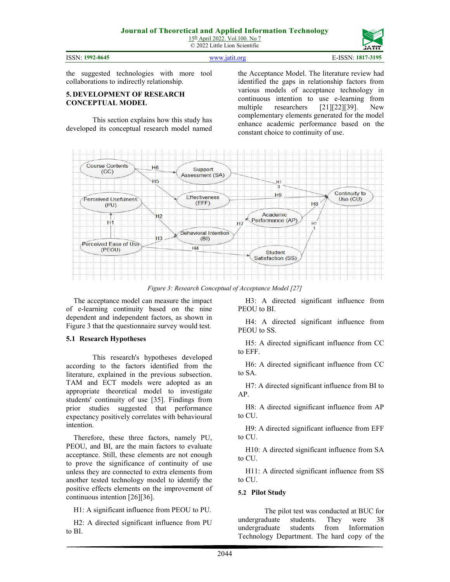15th April 2022. Vol.100. No 7 © 2022 Little Lion Scientific





H3: A directed significant influence from

H4: A directed significant influence from

H5: A directed significant influence from CC

H6: A directed significant influence from CC

H7: A directed significant influence from BI to

H9: A directed significant influence from EFF to CU.

H10: A directed significant influence from SA to CU.

H11: A directed significant influence from SS to CU.

#### **5.2 Pilot Study**

The pilot test was conducted at BUC for undergraduate students. They were 38 undergraduate students from Information Technology Department. The hard copy of the

the suggested technologies with more tool collaborations to indirectly relationship.

### **5. DEVELOPMENT OF RESEARCH CONCEPTUAL MODEL**

This section explains how this study has developed its conceptual research model named

the Acceptance Model. The literature review had identified the gaps in relationship factors from various models of acceptance technology in continuous intention to use e-learning from multiple researchers [21][22][39]. New complementary elements generated for the model enhance academic performance based on the constant choice to continuity of use.



*Figure 3: Research Conceptual of Acceptance Model [27]* 

PEOU to BI

PEOU to SS.

to EFF.

to SA.

AP.

to CU.

The acceptance model can measure the impact of e-learning continuity based on the nine dependent and independent factors, as shown in Figure 3 that the questionnaire survey would test.

#### **5.1 Research Hypotheses**

This research's hypotheses developed according to the factors identified from the literature, explained in the previous subsection. TAM and ECT models were adopted as an appropriate theoretical model to investigate students' continuity of use [35]. Findings from prior studies suggested that performance expectancy positively correlates with behavioural intention.

Therefore, these three factors, namely PU, PEOU, and BI, are the main factors to evaluate acceptance. Still, these elements are not enough to prove the significance of continuity of use unless they are connected to extra elements from another tested technology model to identify the positive effects elements on the improvement of continuous intention [26][36].

H1: A significant influence from PEOU to PU.

H2: A directed significant influence from PU to BI.

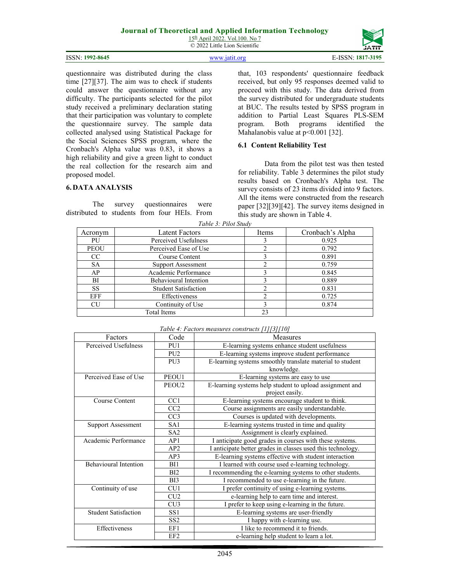15th April 2022. Vol.100. No 7 © 2022 Little Lion Scientific

| ISSN: 1992-8645 | www.jatit.org | E-ISSN: 1817-3195 |
|-----------------|---------------|-------------------|

questionnaire was distributed during the class time [27][37]. The aim was to check if students could answer the questionnaire without any difficulty. The participants selected for the pilot study received a preliminary declaration stating that their participation was voluntary to complete the questionnaire survey. The sample data collected analysed using Statistical Package for the Social Sciences SPSS program, where the Cronbach's Alpha value was 0.83, it shows a high reliability and give a green light to conduct the real collection for the research aim and proposed model.

## **6. DATA ANALYSIS**

The survey questionnaires were distributed to students from four HEIs. From

that, 103 respondents' questionnaire feedback received, but only 95 responses deemed valid to proceed with this study. The data derived from the survey distributed for undergraduate students at BUC. The results tested by SPSS program in addition to Partial Least Squares PLS-SEM program. Both programs identified the Mahalanobis value at p<0.001 [32].

#### **6.1 Content Reliability Test**

Data from the pilot test was then tested for reliability. Table 3 determines the pilot study results based on Cronbach's Alpha test. The survey consists of 23 items divided into 9 factors. All the items were constructed from the research paper [32][39][42]. The survey items designed in this study are shown in Table 4.

| <b>Latent Factors</b>        | Items |                  |
|------------------------------|-------|------------------|
|                              |       | Cronbach's Alpha |
| Perceived Usefulness         |       | 0.925            |
| Perceived Ease of Use        |       | 0.792            |
| Course Content               |       | 0.891            |
| <b>Support Assessment</b>    |       | 0.759            |
| Academic Performance         |       | 0.845            |
| <b>Behavioural Intention</b> |       | 0.889            |
| <b>Student Satisfaction</b>  |       | 0.831            |
| Effectiveness                |       | 0.725            |
| Continuity of Use            |       | 0.874            |
| Total Items                  | 23    |                  |
|                              |       |                  |

*Table 3: Pilot Study* 

|                              | PU <sub>2</sub>   | E-learning systems improve student performance              |
|------------------------------|-------------------|-------------------------------------------------------------|
|                              | PU <sub>3</sub>   | E-learning systems smoothly translate material to student   |
|                              |                   | knowledge.                                                  |
| Perceived Ease of Use        | PEOU1             | E-learning systems are easy to use                          |
|                              | PEOU <sub>2</sub> | E-learning systems help student to upload assignment and    |
|                              |                   | project easily.                                             |
| Course Content               | CC <sub>1</sub>   | E-learning systems encourage student to think.              |
|                              | CC2               | Course assignments are easily understandable.               |
|                              | CC <sub>3</sub>   | Courses is updated with developments.                       |
| <b>Support Assessment</b>    | SA1               | E-learning systems trusted in time and quality              |
|                              | SA <sub>2</sub>   | Assignment is clearly explained.                            |
| Academic Performance         | AP1               | I anticipate good grades in courses with these systems.     |
|                              | AP2               | I anticipate better grades in classes used this technology. |
|                              | AP3               | E-learning systems effective with student interaction       |
| <b>Behavioural Intention</b> | BI1               | I learned with course used e-learning technology.           |
|                              | B <sub>I2</sub>   | I recommending the e-learning systems to other students.    |
|                              | B <sub>I3</sub>   | I recommended to use e-learning in the future.              |
| Continuity of use            | CU1               | I prefer continuity of using e-learning systems.            |

*Table 4: Factors measures constructs [1][3][10]* 

Perceived Usefulness PU1 E-learning systems enhance student usefulness

Factors Code Neasures

Student Satisfaction SS1 SS1 E-learning systems are user-friendly

Effectiveness EF1 EF1 I like to recommend it to friends.

CU2 e-learning help to earn time and interest. CU3 I prefer to keep using e-learning in the future.

SS2 | I happy with e-learning use.

EF2 e-learning help student to learn a lot.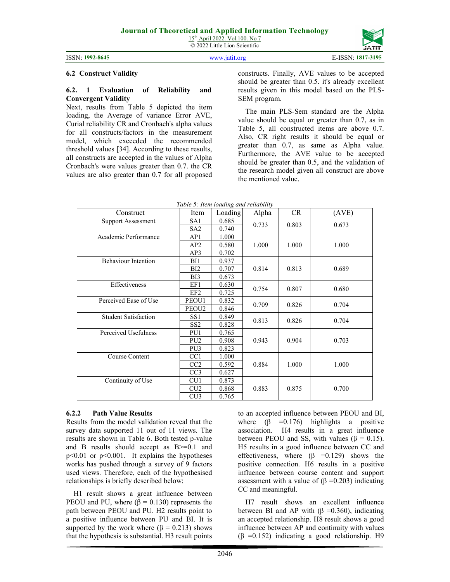15th April 2022. Vol.100. No 7 © 2022 Little Lion Scientific

ISSN: **1992-8645** www.jatit.org E-ISSN: **1817-3195**

#### **6.2 Construct Validity**

#### **6.2. 1 Evaluation of Reliability and Convergent Validity**

Next, results from Table 5 depicted the item loading, the Average of variance Error AVE, Curial reliability CR and Cronbach's alpha values for all constructs/factors in the measurement model, which exceeded the recommended threshold values [34]. According to these results, all constructs are accepted in the values of Alpha Cronbach's were values greater than 0.7. the CR values are also greater than 0.7 for all proposed

constructs. Finally, AVE values to be accepted should be greater than 0.5. it's already excellent results given in this model based on the PLS-SEM program.

The main PLS-Sem standard are the Alpha value should be equal or greater than 0.7, as in Table 5, all constructed items are above 0.7. Also, CR right results it should be equal or greater than 0.7, as same as Alpha value. Furthermore, the AVE value to be accepted should be greater than 0.5, and the validation of the research model given all construct are above the mentioned value.

| Construct                   | Item            | Loading | Alpha | <b>CR</b> | (AVE) |  |
|-----------------------------|-----------------|---------|-------|-----------|-------|--|
| <b>Support Assessment</b>   | SA1             | 0.685   | 0.733 | 0.803     | 0.673 |  |
|                             | SA <sub>2</sub> | 0.740   |       |           |       |  |
| Academic Performance        | AP1             | 1.000   |       |           |       |  |
|                             | AP2             | 0.580   | 1.000 | 1.000     | 1.000 |  |
|                             | AP3             | 0.702   |       |           |       |  |
| <b>Behaviour Intention</b>  | BI1             | 0.937   |       |           |       |  |
|                             | BI2             | 0.707   | 0.814 | 0.813     | 0.689 |  |
|                             | B <sub>I3</sub> | 0.673   |       |           |       |  |
| Effectiveness               | EF1             | 0.630   | 0.754 | 0.807     | 0.680 |  |
|                             | EF <sub>2</sub> | 0.725   |       |           |       |  |
| Perceived Ease of Use       | PEOU1           | 0.832   | 0.709 | 0.826     | 0.704 |  |
|                             | PEOU2           | 0.846   |       |           |       |  |
| <b>Student Satisfaction</b> | SS1             | 0.849   | 0.813 | 0.826     | 0.704 |  |
|                             | SS <sub>2</sub> | 0.828   |       |           |       |  |
| Perceived Usefulness        | PU1             | 0.765   |       |           |       |  |
|                             | PU <sub>2</sub> | 0.908   | 0.943 | 0.904     | 0.703 |  |
|                             | PU <sub>3</sub> | 0.823   |       |           |       |  |
| Course Content              | CC1             | 1.000   |       |           |       |  |
|                             | CC2             | 0.592   | 0.884 | 1.000     | 1.000 |  |
|                             | CC <sub>3</sub> | 0.627   |       |           |       |  |
| Continuity of Use           | CU <sub>1</sub> | 0.873   |       |           |       |  |
|                             | CU2             | 0.868   | 0.883 | 0.875     | 0.700 |  |
|                             | CU3             | 0.765   |       |           |       |  |

*Table 5: Item loading and reliability* 

# **6.2.2 Path Value Results**

Results from the model validation reveal that the survey data supported 11 out of 11 views. The results are shown in Table 6. Both tested p-value and B results should accept as B>=0.1 and p<0.01 or p<0.001. It explains the hypotheses works has pushed through a survey of 9 factors used views. Therefore, each of the hypothesised relationships is briefly described below:

H1 result shows a great influence between PEOU and PU, where  $(β = 0.130)$  represents the path between PEOU and PU. H2 results point to a positive influence between PU and BI. It is supported by the work where  $(β = 0.213)$  shows that the hypothesis is substantial. H3 result points

to an accepted influence between PEOU and BI, where  $(\beta = 0.176)$  highlights a positive association. H4 results in a great influence between PEOU and SS, with values ( $\beta = 0.15$ ). H5 results in a good influence between CC and effectiveness, where  $(\beta = 0.129)$  shows the positive connection. H6 results in a positive influence between course content and support assessment with a value of ( $β = 0.203$ ) indicating CC and meaningful.

H7 result shows an excellent influence between BI and AP with  $(\beta = 0.360)$ , indicating an accepted relationship. H8 result shows a good influence between AP and continuity with values (β =0.152) indicating a good relationship. H9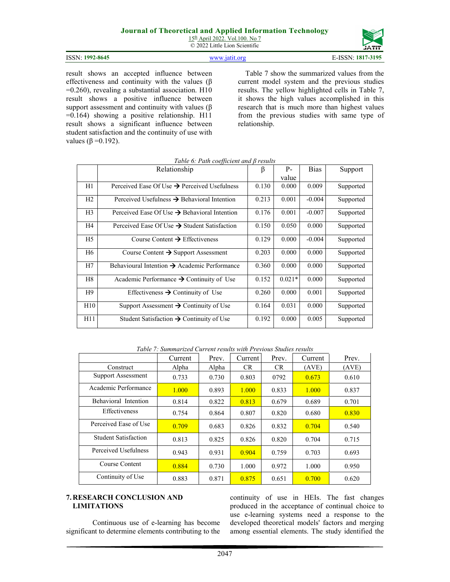15<sup>th</sup> April 2022. Vol.100. No 7 © 2022 Little Lion Scientific

| ISSN: 1992-8645 | $\frac{1}{2}$ WWW 19515 OF | E-ISSN: 1817-3195 |
|-----------------|----------------------------|-------------------|

result shows an accepted influence between effectiveness and continuity with the values ( $\beta$ =0.260), revealing a substantial association. H10 result shows a positive influence between support assessment and continuity with values ( $\beta$ =0.164) showing a positive relationship. H11 result shows a significant influence between student satisfaction and the continuity of use with values ( $\beta$  =0.192).

Table 7 show the summarized values from the current model system and the previous studies results. The yellow highlighted cells in Table 7, it shows the high values accomplished in this research that is much more than highest values from the previous studies with same type of relationship.

|                | Relationship                                             | β     | $P-$     | <b>Bias</b> | Support   |
|----------------|----------------------------------------------------------|-------|----------|-------------|-----------|
|                |                                                          |       | value    |             |           |
| H1             | Perceived Ease Of Use $\rightarrow$ Perceived Usefulness | 0.130 | 0.000    | 0.009       | Supported |
| H2             | Perceived Usefulness $\rightarrow$ Behavioral Intention  | 0.213 | 0.001    | $-0.004$    | Supported |
| H <sub>3</sub> | Perceived Ease Of Use $\rightarrow$ Behavioral Intention | 0.176 | 0.001    | $-0.007$    | Supported |
| H4             | Perceived Ease Of Use $\rightarrow$ Student Satisfaction | 0.150 | 0.050    | 0.000       | Supported |
| H5             | Course Content $\rightarrow$ Effectiveness               | 0.129 | 0.000    | $-0.004$    | Supported |
| H6             | Course Content $\rightarrow$ Support Assessment          | 0.203 | 0.000    | 0.000       | Supported |
| H7             | Behavioural Intention $\rightarrow$ Academic Performance | 0.360 | 0.000    | 0.000       | Supported |
| H8             | Academic Performance $\rightarrow$ Continuity of Use     | 0.152 | $0.021*$ | 0.000       | Supported |
| H9             | Effectiveness $\rightarrow$ Continuity of Use            | 0.260 | 0.000    | 0.001       | Supported |
| H10            | Support Assessment $\rightarrow$ Continuity of Use       | 0.164 | 0.031    | 0.000       | Supported |
| H11            | Student Satisfaction $\rightarrow$ Continuity of Use     | 0.192 | 0.000    | 0.005       | Supported |

#### *Table 6: Path coefficient and β results*

*Table 7: Summarized Current results with Previous Studies results* 

|                             | Current | Prev. | Current   | Prev.     | Current | Prev. |
|-----------------------------|---------|-------|-----------|-----------|---------|-------|
| Construct                   | Alpha   | Alpha | <b>CR</b> | <b>CR</b> | (AVE)   | (AVE) |
| Support Assessment          | 0.733   | 0.730 | 0.803     | 0792      | 0.673   | 0.610 |
| Academic Performance        | 1.000   | 0.893 | 1.000     | 0.833     | 1.000   | 0.837 |
| Behavioral Intention        | 0.814   | 0.822 | 0.813     | 0.679     | 0.689   | 0.701 |
| Effectiveness               | 0.754   | 0.864 | 0.807     | 0.820     | 0.680   | 0.830 |
| Perceived Ease of Use       | 0.709   | 0.683 | 0.826     | 0.832     | 0.704   | 0.540 |
| <b>Student Satisfaction</b> | 0.813   | 0.825 | 0.826     | 0.820     | 0.704   | 0.715 |
| Perceived Usefulness        | 0.943   | 0.931 | 0.904     | 0.759     | 0.703   | 0.693 |
| Course Content              | 0.884   | 0.730 | 1.000     | 0.972     | 1.000   | 0.950 |
| Continuity of Use           | 0.883   | 0.871 | 0.875     | 0.651     | 0.700   | 0.620 |

#### **7. RESEARCH CONCLUSION AND LIMITATIONS**

Continuous use of e-learning has become significant to determine elements contributing to the continuity of use in HEIs. The fast changes produced in the acceptance of continual choice to use e-learning systems need a response to the developed theoretical models' factors and merging among essential elements. The study identified the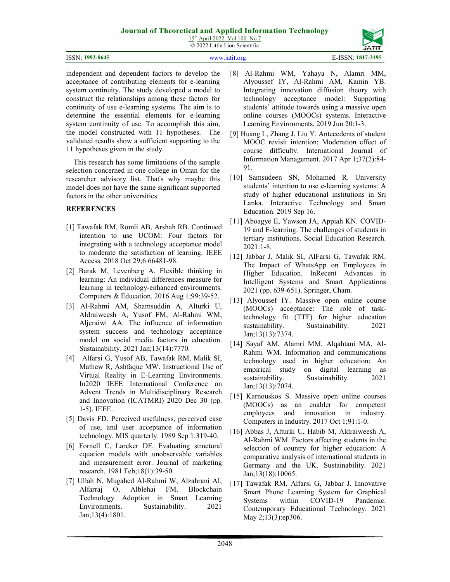| 15 <sup>th</sup> April 2022. Vol. 100. No 7 |
|---------------------------------------------|
| © 2022 Little Lion Scientific               |

| ISSN: 1992-8645 | www.1af1f.org | E-ISSN: 1817-3195 |
|-----------------|---------------|-------------------|

independent and dependent factors to develop the acceptance of contributing elements for e-learning system continuity. The study developed a model to construct the relationships among these factors for continuity of use e-learning systems. The aim is to determine the essential elements for e-learning system continuity of use. To accomplish this aim, the model constructed with 11 hypotheses. The validated results show a sufficient supporting to the 11 hypotheses given in the study.

This research has some limitations of the sample selection concerned in one college in Oman for the researcher advisory list. That's why maybe this model does not have the same significant supported factors in the other universities.

# **REFERENCES**

- [1] Tawafak RM, Romli AB, Arshah RB. Continued intention to use UCOM: Four factors for integrating with a technology acceptance model to moderate the satisfaction of learning. IEEE Access. 2018 Oct 29;6:66481-98.
- [2] Barak M, Levenberg A. Flexible thinking in learning: An individual differences measure for learning in technology-enhanced environments. Computers & Education. 2016 Aug 1;99:39-52.
- [3] Al-Rahmi AM, Shamsuddin A, Alturki U, Aldraiweesh A, Yusof FM, Al-Rahmi WM, Aljeraiwi AA. The influence of information system success and technology acceptance model on social media factors in education. Sustainability. 2021 Jan;13(14):7770.
- [4] Alfarsi G, Yusof AB, Tawafak RM, Malik SI, Mathew R, Ashfaque MW. Instructional Use of Virtual Reality in E-Learning Environments. In2020 IEEE International Conference on Advent Trends in Multidisciplinary Research and Innovation (ICATMRI) 2020 Dec 30 (pp. 1-5). IEEE.
- [5] Davis FD. Perceived usefulness, perceived ease of use, and user acceptance of information technology. MIS quarterly. 1989 Sep 1:319-40.
- [6] Fornell C, Larcker DF. Evaluating structural equation models with unobservable variables and measurement error. Journal of marketing research. 1981 Feb;18(1):39-50.
- [7] Ullah N, Mugahed Al-Rahmi W, Alzahrani AI, Alfarraj O, Alblehai FM. Blockchain Technology Adoption in Smart Learning Environments. Sustainability. 2021 Jan;13(4):1801.
- [8] Al-Rahmi WM, Yahaya N, Alamri MM, Alyoussef IY, Al-Rahmi AM, Kamin YB. Integrating innovation diffusion theory with technology acceptance model: Supporting students' attitude towards using a massive open online courses (MOOCs) systems. Interactive Learning Environments. 2019 Jun 20:1-3.
- [9] Huang L, Zhang J, Liu Y. Antecedents of student MOOC revisit intention: Moderation effect of course difficulty. International Journal of Information Management. 2017 Apr 1;37(2):84- 91.
- [10] Samsudeen SN, Mohamed R. University students' intention to use e-learning systems: A study of higher educational institutions in Sri Lanka. Interactive Technology and Smart Education. 2019 Sep 16.
- [11] Aboagye E, Yawson JA, Appiah KN. COVID-19 and E-learning: The challenges of students in tertiary institutions. Social Education Research. 2021:1-8.
- [12] Jabbar J, Malik SI, AlFarsi G, Tawafak RM. The Impact of WhatsApp on Employees in Higher Education. InRecent Advances in Intelligent Systems and Smart Applications 2021 (pp. 639-651). Springer, Cham.
- [13] Alyoussef IY. Massive open online course (MOOCs) acceptance: The role of tasktechnology fit (TTF) for higher education sustainability. Sustainability. 2021 Jan;13(13):7374.
- [14] Sayaf AM, Alamri MM, Alqahtani MA, Al-Rahmi WM. Information and communications technology used in higher education: An empirical study on digital learning as sustainability. Sustainability. 2021 Jan;13(13):7074.
- [15] Karnouskos S. Massive open online courses (MOOCs) as an enabler for competent employees and innovation in industry. Computers in Industry. 2017 Oct 1;91:1-0.
- [16] Abbas J, Alturki U, Habib M, Aldraiweesh A, Al-Rahmi WM. Factors affecting students in the selection of country for higher education: A comparative analysis of international students in Germany and the UK. Sustainability. 2021 Jan;13(18):10065.
- [17] Tawafak RM, Alfarsi G, Jabbar J. Innovative Smart Phone Learning System for Graphical Systems within COVID-19 Pandemic. Contemporary Educational Technology. 2021 May 2;13(3):ep306.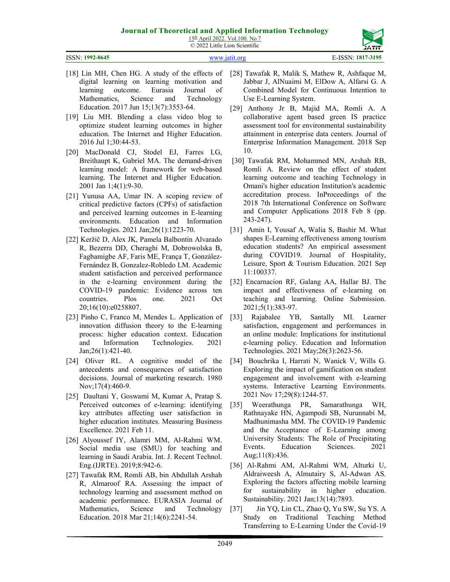| 15 <sup>th</sup> April 2022. Vol. 100. No 7 |
|---------------------------------------------|
| © 2022 Little Lion Scientific               |

ISSN: **1992-8645** www.jatit.org E-ISSN: **1817-3195**

- [18] Lin MH, Chen HG. A study of the effects of digital learning on learning motivation and learning outcome. Eurasia Journal of Mathematics, Science and Technology Education. 2017 Jun 15;13(7):3553-64.
- [19] Liu MH. Blending a class video blog to optimize student learning outcomes in higher education. The Internet and Higher Education. 2016 Jul 1;30:44-53.
- [20] MacDonald CJ, Stodel EJ, Farres LG, Breithaupt K, Gabriel MA. The demand-driven learning model: A framework for web-based learning. The Internet and Higher Education. 2001 Jan 1;4(1):9-30.
- [21] Yunusa AA, Umar IN. A scoping review of critical predictive factors (CPFs) of satisfaction and perceived learning outcomes in E-learning environments. Education and Information Technologies. 2021 Jan;26(1):1223-70.
- [22] Keržič D, Alex JK, Pamela Balbontín Alvarado R, Bezerra DD, Cheraghi M, Dobrowolska B, Fagbamigbe AF, Faris ME, França T, González-Fernández B, Gonzalez-Robledo LM. Academic student satisfaction and perceived performance in the e-learning environment during the COVID-19 pandemic: Evidence across ten countries. Plos one. 2021 Oct 20;16(10):e0258807.
- [23] Pinho C, Franco M, Mendes L. Application of innovation diffusion theory to the E-learning process: higher education context. Education and Information Technologies. 2021 Jan;26(1):421-40.
- [24] Oliver RL. A cognitive model of the antecedents and consequences of satisfaction decisions. Journal of marketing research. 1980 Nov;17(4):460-9.
- [25] Daultani Y, Goswami M, Kumar A, Pratap S. Perceived outcomes of e-learning: identifying key attributes affecting user satisfaction in higher education institutes. Measuring Business Excellence. 2021 Feb 11.
- [26] Alyoussef IY, Alamri MM, Al-Rahmi WM. Social media use (SMU) for teaching and learning in Saudi Arabia. Int. J. Recent Technol. Eng.(IJRTE). 2019;8:942-6.
- [27] Tawafak RM, Romli AB, bin Abdullah Arshah R, Almaroof RA. Assessing the impact of technology learning and assessment method on academic performance. EURASIA Journal of Mathematics, Science and Technology Education. 2018 Mar 21;14(6):2241-54.
- [28] Tawafak R, Malik S, Mathew R, Ashfaque M, Jabbar J, AlNuaimi M, ElDow A, Alfarsi G. A Combined Model for Continuous Intention to Use E-Learning System.
- [29] Anthony Jr B, Majid MA, Romli A. A collaborative agent based green IS practice assessment tool for environmental sustainability attainment in enterprise data centers. Journal of Enterprise Information Management. 2018 Sep 10.
- [30] Tawafak RM, Mohammed MN, Arshah RB, Romli A. Review on the effect of student learning outcome and teaching Technology in Omani's higher education Institution's academic accreditation process. InProceedings of the 2018 7th International Conference on Software and Computer Applications 2018 Feb 8 (pp. 243-247).
- [31] Amin I, Yousaf A, Walia S, Bashir M. What shapes E-Learning effectiveness among tourism education students? An empirical assessment during COVID19. Journal of Hospitality, Leisure, Sport & Tourism Education. 2021 Sep 11:100337.
- [32] Encarnacion RF, Galang AA, Hallar BJ. The impact and effectiveness of e-learning on teaching and learning. Online Submission. 2021;5(1):383-97.
- [33] Rajabalee YB, Santally MI. Learner satisfaction, engagement and performances in an online module: Implications for institutional e-learning policy. Education and Information Technologies. 2021 May;26(3):2623-56.
- [34] Bouchrika I, Harrati N, Wanick V, Wills G. Exploring the impact of gamification on student engagement and involvement with e-learning systems. Interactive Learning Environments. 2021 Nov 17;29(8):1244-57.
- [35] Weerathunga PR, Samarathunga WH, Rathnayake HN, Agampodi SB, Nurunnabi M, Madhunimasha MM. The COVID-19 Pandemic and the Acceptance of E-Learning among University Students: The Role of Precipitating Events. Education Sciences. 2021 Aug;11(8):436.
- [36] Al-Rahmi AM, Al-Rahmi WM, Alturki U, Aldraiweesh A, Almutairy S, Al-Adwan AS. Exploring the factors affecting mobile learning for sustainability in higher education. Sustainability. 2021 Jan;13(14):7893.
- [37] Jin YQ, Lin CL, Zhao Q, Yu SW, Su YS. A Study on Traditional Teaching Method Transferring to E-Learning Under the Covid-19